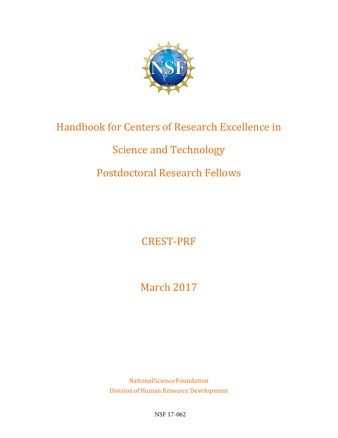

# Handbook for Centers of Research Excellence in

# Science and Technology

# Postdoctoral Research Fellows

CREST-PRF

March 2017

NationalScienceFoundation Division of Human Resource Development

NSF 17-062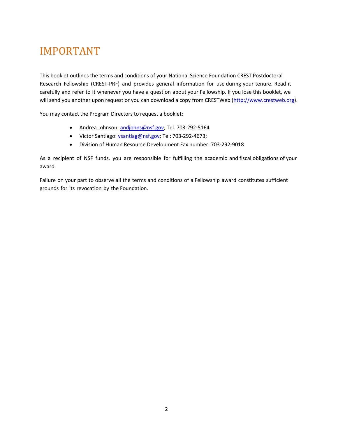# <span id="page-1-0"></span>IMPORTANT

This booklet outlines the terms and conditions of your National Science Foundation CREST Postdoctoral Research Fellowship (CREST-PRF) and provides general information for use during your tenure. Read it carefully and refer to it whenever you have a question about your Fellowship. If you lose this booklet, we will send you another upon request or you can download a copy from CRESTWeb [\(http://www.crestweb.org\)](https://www.nsf.gov/cgi-bin/goodbye?http://www.crestweb.org/).

You may contact the Program Directors to request a booklet:

- Andrea Johnson[: andjohns@nsf.gov;](mailto:andjohns@nsf.gov) Tel. 703-292-5164
- Victor Santiago: [vsantiag@nsf.gov;](mailto:vsantiag@nsf.gov) [Tel: 703-292-4673;](tel:703-292-4673)
- Division of Human Resource Development Fax number: 703-292-9018

As a recipient of NSF funds, you are responsible for fulfilling the academic and fiscal obligations of your award.

Failure on your part to observe all the terms and conditions of a Fellowship award constitutes sufficient grounds for its revocation by the Foundation.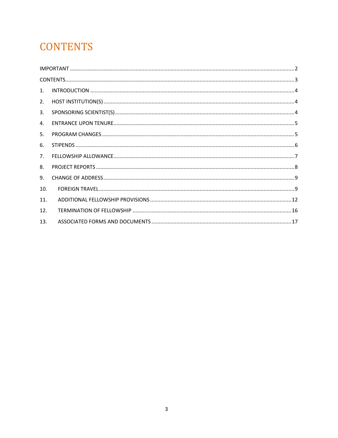# <span id="page-2-0"></span>**CONTENTS**

| 1.             |  |
|----------------|--|
| 2.             |  |
| 3.             |  |
| $\mathbf{4}$ . |  |
| 5.             |  |
| 6.             |  |
| 7 <sub>1</sub> |  |
| 8.             |  |
| 9.             |  |
| 10.            |  |
| 11.            |  |
| 12.            |  |
| 13.            |  |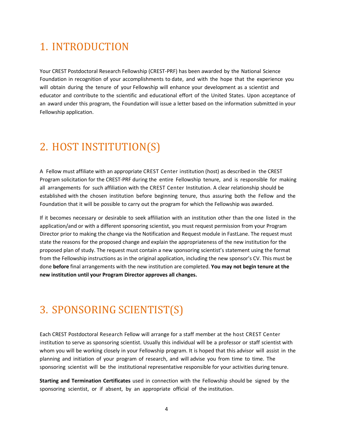# <span id="page-3-0"></span>1. INTRODUCTION

Your CREST Postdoctoral Research Fellowship (CREST-PRF) has been awarded by the National Science Foundation in recognition of your accomplishments to date, and with the hope that the experience you will obtain during the tenure of your Fellowship will enhance your development as a scientist and educator and contribute to the scientific and educational effort of the United States. Upon acceptance of an award under this program, the Foundation will issue a letter based on the information submitted in your Fellowship application.

# <span id="page-3-1"></span>2. HOST INSTITUTION(S)

A Fellow must affiliate with an appropriate CREST Center institution (host) as described in the CREST Program solicitation for the CREST-PRF during the entire Fellowship tenure, and is responsible for making all arrangements for such affiliation with the CREST Center Institution. A clear relationship should be established with the chosen institution before beginning tenure, thus assuring both the Fellow and the Foundation that it will be possible to carry out the program for which the Fellowship was awarded.

If it becomes necessary or desirable to seek affiliation with an institution other than the one listed in the application/and or with a different sponsoring scientist, you must request permission from your Program Director prior to making the change via the Notification and Request module in FastLane. The request must state the reasons for the proposed change and explain the appropriateness of the new institution for the proposed plan of study. The request must contain a new sponsoring scientist's statement using the format from the Fellowship instructions as in the original application, including the new sponsor's CV. This must be done **before** final arrangements with the new institution are completed. **You may not begin tenure at the new institution until your Program Director approves all changes.**

# <span id="page-3-2"></span>3. SPONSORING SCIENTIST(S)

Each CREST Postdoctoral Research Fellow will arrange for a staff member at the host CREST Center institution to serve as sponsoring scientist. Usually this individual will be a professor or staff scientist with whom you will be working closely in your Fellowship program. It is hoped that this advisor will assist in the planning and initiation of your program of research, and will advise you from time to time. The sponsoring scientist will be the institutional representative responsible for your activities during tenure.

**Starting and Termination Certificates** used in connection with the Fellowship should be signed by the sponsoring scientist, or if absent, by an appropriate official of the institution.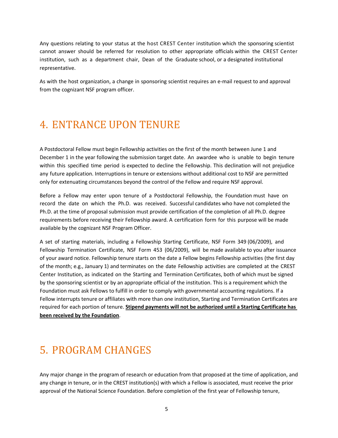Any questions relating to your status at the host CREST Center institution which the sponsoring scientist cannot answer should be referred for resolution to other appropriate officials within the CREST Center institution, such as a department chair, Dean of the Graduate school, or a designated institutional representative.

As with the host organization, a change in sponsoring scientist requires an e-mail request to and approval from the cognizant NSF program officer.

# <span id="page-4-0"></span>4. ENTRANCE UPON TENURE

A Postdoctoral Fellow must begin Fellowship activities on the first of the month between June 1 and December 1 in the year following the submission target date. An awardee who is unable to begin tenure within this specified time period is expected to decline the Fellowship. This declination will not prejudice any future application. Interruptions in tenure or extensions without additional cost to NSF are permitted only for extenuating circumstances beyond the control of the Fellow and require NSF approval.

Before a Fellow may enter upon tenure of a Postdoctoral Fellowship, the Foundation must have on record the date on which the Ph.D. was received. Successful candidates who have not completed the Ph.D. at the time of proposal submission must provide certification of the completion of all Ph.D. degree requirements before receiving their Fellowship award. A certification form for this purpose will be made available by the cognizant NSF Program Officer.

A set of starting materials, including a Fellowship Starting Certificate, NSF Form 349 (06/2009), and Fellowship Termination Certificate, NSF Form 453 (06/2009), will be made available to you after issuance of your award notice. Fellowship tenure starts on the date a Fellow begins Fellowship activities (the first day of the month; e.g., January 1) and terminates on the date Fellowship activities are completed at the CREST Center Institution, as indicated on the Starting and Termination Certificates, both of which must be signed by the sponsoring scientist or by an appropriate official of the institution. This is a requirement which the Foundation must ask Fellows to fulfill in order to comply with governmental accounting regulations. If a Fellow interrupts tenure or affiliates with more than one institution, Starting and Termination Certificates are required for each portion of tenure. **Stipend payments will not be authorized until a Starting Certificate has been received by the Foundation**.

# <span id="page-4-1"></span>5. PROGRAM CHANGES

Any major change in the program of research or education from that proposed at the time of application, and any change in tenure, or in the CREST institution(s) with which a Fellow is associated, must receive the prior approval of the National Science Foundation. Before completion of the first year of Fellowship tenure,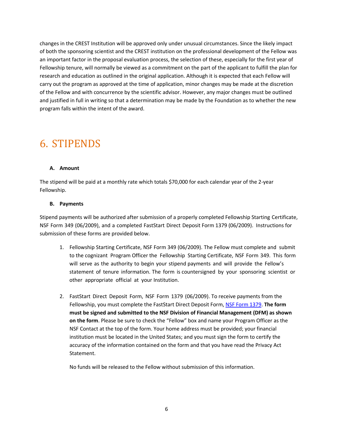changes in the CREST Institution will be approved only under unusual circumstances. Since the likely impact of both the sponsoring scientist and the CREST institution on the professional development of the Fellow was an important factor in the proposal evaluation process, the selection of these, especially for the first year of Fellowship tenure, will normally be viewed as a commitment on the part of the applicant to fulfill the plan for research and education as outlined in the original application. Although it is expected that each Fellow will carry out the program as approved at the time of application, minor changes may be made at the discretion of the Fellow and with concurrence by the scientific advisor. However, any major changes must be outlined and justified in full in writing so that a determination may be made by the Foundation as to whether the new program falls within the intent of the award.

# <span id="page-5-0"></span>6. STIPENDS

#### **A. Amount**

The stipend will be paid at a monthly rate which totals \$70,000 for each calendar year of the 2-year Fellowship.

### **B. Payments**

Stipend payments will be authorized after submission of a properly completed Fellowship Starting Certificate, NSF Form 349 (06/2009), and a completed FastStart Direct Deposit Form 1379 (06/2009). Instructions for submission of these forms are provided below.

- 1. Fellowship Starting Certificate, NSF Form 349 (06/2009). The Fellow must complete and submit to the cognizant Program Officer the Fellowship Starting Certificate, NSF Form 349. This form will serve as the authority to begin your stipend payments and will provide the Fellow's statement of tenure information. The form is countersigned by your sponsoring scientist or other appropriate official at your Institution.
- 2. FastStart Direct Deposit Form, NSF Form 1379 (06/2009). To receive payments from the Fellowship, you must complete the FastStart Direct Deposit Form, NSF Form 1379. **The form must be signed and submitted to the NSF Division of Financial Management (DFM) as shown on the form**. Please be sure to check the "Fellow" box and name your Program Officer as the NSF Contact at the top of the form. Your home address must be provided; your financial institution must be located in the United States; and you must sign the form to certify the accuracy of the information contained on the form and that you have read the Privacy Act Statement.

No funds will be released to the Fellow without submission of this information.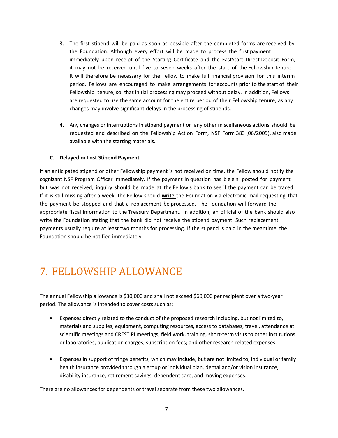- 3. The first stipend will be paid as soon as possible after the completed forms are received by the Foundation. Although every effort will be made to process the first payment immediately upon receipt of the Starting Certificate and the FastStart Direct Deposit Form, it may not be received until five to seven weeks after the start of the Fellowship tenure. It will therefore be necessary for the Fellow to make full financial provision for this interim period. Fellows are encouraged to make arrangements for accounts prior to the start of their Fellowship tenure, so that initial processing may proceed without delay. In addition, Fellows are requested to use the same account for the entire period of their Fellowship tenure, as any changes may involve significant delays in the processing of stipends.
- 4. Any changes or interruptions in stipend payment or any other miscellaneous actions should be requested and described on the Fellowship Action Form, NSF Form 383 (06/2009), also made available with the starting materials.

### **C. Delayed or Lost Stipend Payment**

If an anticipated stipend or other Fellowship payment is not received on time, the Fellow should notify the cognizant NSF Program Officer immediately. If the payment in question has been posted for payment but was not received, inquiry should be made at the Fellow's bank to see if the payment can be traced. If it is still missing after a week, the Fellow should **write** the Foundation via electronic mail requesting that the payment be stopped and that a replacement be processed. The Foundation will forward the appropriate fiscal information to the Treasury Department. In addition, an official of the bank should also write the Foundation stating that the bank did not receive the stipend payment. Such replacement payments usually require at least two months for processing. If the stipend is paid in the meantime, the Foundation should be notified immediately.

# <span id="page-6-0"></span>7. FELLOWSHIP ALLOWANCE

The annual Fellowship allowance is \$30,000 and shall not exceed \$60,000 per recipient over a two-year period. The allowance is intended to cover costs such as:

- Expenses directly related to the conduct of the proposed research including, but not limited to, materials and supplies, equipment, computing resources, access to databases, travel, attendance at scientific meetings and CREST PI meetings, field work, training, short-term visits to other institutions or laboratories, publication charges, subscription fees; and other research-related expenses.
- Expenses in support of fringe benefits, which may include, but are not limited to, individual or family health insurance provided through a group or individual plan, dental and/or vision insurance, disability insurance, retirement savings, dependent care, and moving expenses.

There are no allowances for dependents or travel separate from these two allowances.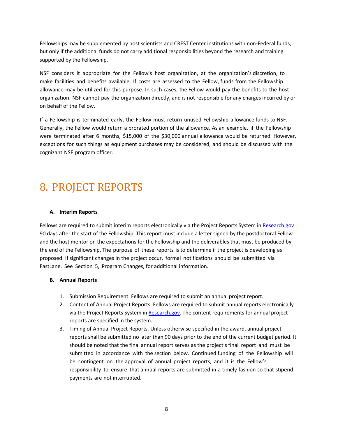Fellowships may be supplemented by host scientists and CREST Center institutions with non-Federal funds, but only if the additional funds do not carry additional responsibilities beyond the research and training supported by the Fellowship.

NSF considers it appropriate for the Fellow's host organization, at the organization's discretion, to make facilities and benefits available. If costs are assessed to the Fellow, funds from the Fellowship allowance may be utilized for this purpose. In such cases, the Fellow would pay the benefits to the host organization. NSF cannot pay the organization directly, and is not responsible for any charges incurred by or on behalf of the Fellow.

If a Fellowship is terminated early, the Fellow must return unused Fellowship allowance funds to NSF. Generally, the Fellow would return a prorated portion of the allowance. As an example, if the Fellowship were terminated after 6 months, \$15,000 of the \$30,000 annual allowance would be returned. However, exceptions for such things as equipment purchases may be considered, and should be discussed with the cognizant NSF program officer.

# <span id="page-7-0"></span>8. PROJECT REPORTS

### **A. Interim Reports**

Fellows are required to submit interim reports electronically via the Project Reports System in [Research.gov](http://www.research.gov/) 90 days after the start of the Fellowship. This report must include a letter signed by the postdoctoral Fellow and the host mentor on the expectations for the Fellowship and the deliverables that must be produced by the end of the Fellowship. The purpose of these reports is to determine if the project is developing as proposed. If significant changes in the project occur, formal notifications should be submitted via FastLane. See Section 5, Program Changes, for additional information.

#### **B. Annual Reports**

- 1. Submission Requirement. Fellows are required to submit an annual project report.
- 2. Content of Annual Project Reports. Fellows are required to submit annual reports electronically via the Project Reports System in [Research.gov.](http://www.research.gov/) The content requirements for annual project reports are specified in the system.
- 3. Timing of Annual Project Reports. Unless otherwise specified in the award, annual project reports shall be submitted no later than 90 days prior to the end of the current budget period. It should be noted that the final annual report serves as the project's final report and must be submitted in accordance with the section below. Continued funding of the Fellowship will be contingent on the approval of annual project reports, and it is the Fellow's responsibility to ensure that annual reports are submitted in a timely fashion so that stipend payments are not interrupted.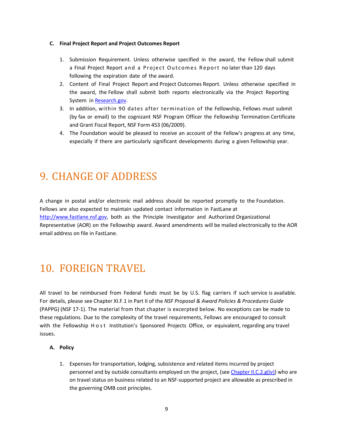#### **C. Final Project Report and Project Outcomes Report**

- 1. Submission Requirement. Unless otherwise specified in the award, the Fellow shall submit a Final Project Report and a Project Outcomes Report no later than 120 days following the expiration date of the award.
- 2. Content of Final Project Report and Project Outcomes Report. Unless otherwise specified in the award, the Fellow shall submit both reports electronically via the Project Reporting System in [Research.gov.](http://www.research.gov/)
- 3. In addition, within 90 dates after termination of the Fellowship, Fellows must submit (by fax or email) to the cognizant NSF Program Officer the Fellowship Termination Certificate and Grant Fiscal Report, NSF Form 453 (06/2009).
- 4. The Foundation would be pleased to receive an account of the Fellow's progress at any time, especially if there are particularly significant developments during a given Fellowship year.

# <span id="page-8-0"></span>9. CHANGE OF ADDRESS

A change in postal and/or electronic mail address should be reported promptly to the Foundation. Fellows are also expected to maintain updated contact information in FastLane at [http://www.fastlane.nsf.gov, b](http://www.fastlane.nsf.gov/)oth as the Principle Investigator and Authorized Organizational Representative (AOR) on the Fellowship award. Award amendments will be mailed electronically to the AOR email address on file in FastLane.

# <span id="page-8-1"></span>10. FOREIGN TRAVEL

All travel to be reimbursed from Federal funds must be by U.S. flag carriers if such service is available. For details, please see Chapter XI.F.1 in Part II of the *NSF Proposal & Award Policies & Procedures Guide* (PAPPG) (NSF 17-1). The material from that chapter is excerpted below. No exceptions can be made to these regulations. Due to the complexity of the travel requirements, Fellows are encouraged to consult with the Fellowship Host Institution's Sponsored Projects Office, or equivalent, regarding any travel issues.

### **A. Policy**

1. Expenses for transportation, lodging, subsistence and related items incurred by project personnel and by outside consultants employed on the project, (se[e Chapter II.C.2.g\(iv\)\)](https://www.nsf.gov/pubs/policydocs/pappg17_1/pappg_2.jsp#IIC2giv) who are on travel status on business related to an NSF-supported project are allowable as prescribed in the governing OMB cost principles.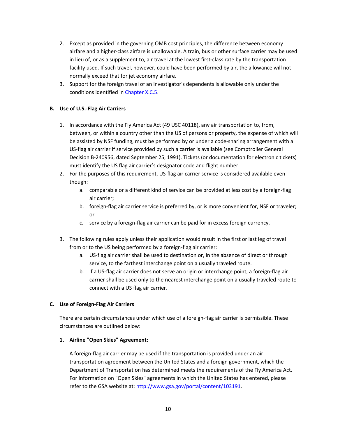- 2. Except as provided in the governing OMB cost principles, the difference between economy airfare and a higher-class airfare is unallowable. A train, bus or other surface carrier may be used in lieu of, or as a supplement to, air travel at the lowest first-class rate by the transportation facility used. If such travel, however, could have been performed by air, the allowance will not normally exceed that for jet economy airfare.
- 3. Support for the foreign travel of an investigator's dependents is allowable only under the conditions identified i[n Chapter X.C.5.](https://www.nsf.gov/pubs/policydocs/pappg17_1/pappg_10.jsp#XC5)

# **B. Use of U.S.-Flag Air Carriers**

- 1. In accordance with the Fly America Act (49 USC 40118), any air transportation to, from, between, or within a country other than the US of persons or property, the expense of which will be assisted by NSF funding, must be performed by or under a code-sharing arrangement with a US-flag air carrier if service provided by such a carrier is available (see Comptroller General Decision B-240956, dated September 25, 1991). Tickets (or documentation for electronic tickets) must identify the US flag air carrier's designator code and flight number.
- 2. For the purposes of this requirement, US-flag air carrier service is considered available even though:
	- a. comparable or a different kind of service can be provided at less cost by a foreign-flag air carrier;
	- b. foreign-flag air carrier service is preferred by, or is more convenient for, NSF or traveler; or
	- c. service by a foreign-flag air carrier can be paid for in excess foreign currency.
- 3. The following rules apply unless their application would result in the first or last leg of travel from or to the US being performed by a foreign-flag air carrier:
	- a. US-flag air carrier shall be used to destination or, in the absence of direct or through service, to the farthest interchange point on a usually traveled route.
	- b. if a US-flag air carrier does not serve an origin or interchange point, a foreign-flag air carrier shall be used only to the nearest interchange point on a usually traveled route to connect with a US flag air carrier.

### **C. Use of Foreign-Flag Air Carriers**

There are certain circumstances under which use of a foreign-flag air carrier is permissible. These circumstances are outlined below:

### **1. Airline "Open Skies" Agreement:**

A foreign-flag air carrier may be used if the transportation is provided under an air transportation agreement between the United States and a foreign government, which the Department of Transportation has determined meets the requirements of the Fly America Act. For information on "Open Skies" agreements in which the United States has entered, please refer to the GSA website at: [http://www.gsa.gov/portal/content/103191.](http://www.gsa.gov/portal/content/103191)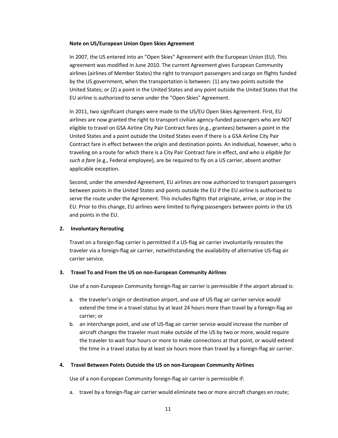#### **Note on US/European Union Open Skies Agreement**

In 2007, the US entered into an "Open Skies" Agreement with the European Union (EU). This agreement was modified in June 2010. The current Agreement gives European Community airlines (airlines of Member States) the right to transport passengers and cargo on flights funded by the US government, when the transportation is between: (1) any two points outside the United States; or (2) a point in the United States and any point outside the United States that the EU airline is authorized to serve under the "Open Skies" Agreement.

In 2011, two significant changes were made to the US/EU Open Skies Agreement. First, EU airlines are now granted the right to transport civilian agency-funded passengers who are NOT eligible to travel on GSA Airline City Pair Contract fares (e.g., grantees) between a point in the United States and a point outside the United States even if there is a GSA Airline City Pair Contract fare in effect between the origin and destination points. An individual, however, who is traveling on a route for which there is a City Pair Contract fare in effect, *and who is eligible for such a fare* (e.g., Federal employee), are be required to fly on a US carrier, absent another applicable exception.

Second, under the amended Agreement, EU airlines are now authorized to transport passengers between points in the United States and points outside the EU if the EU airline is authorized to serve the route under the Agreement. This includes flights that originate, arrive, or stop in the EU. Prior to this change, EU airlines were limited to flying passengers between points in the US and points in the EU.

#### **2. Involuntary Rerouting**

Travel on a foreign-flag carrier is permitted if a US-flag air carrier involuntarily reroutes the traveler via a foreign-flag air carrier, notwithstanding the availability of alternative US-flag air carrier service.

#### **3. Travel To and From the US on non-European Community Airlines**

Use of a non-European Community foreign-flag air carrier is permissible if the airport abroad is:

- a. the traveler's origin or destination airport, and use of US-flag air carrier service would extend the time in a travel status by at least 24 hours more than travel by a foreign-flag air carrier; or
- b. an interchange point, and use of US-flag air carrier service would increase the number of aircraft changes the traveler must make outside of the US by two or more, would require the traveler to wait four hours or more to make connections at that point, or would extend the time in a travel status by at least six hours more than travel by a foreign-flag air carrier.

#### **4. Travel Between Points Outside the US on non-European Community Airlines**

Use of a non-European Community foreign-flag air carrier is permissible if:

a. travel by a foreign-flag air carrier would eliminate two or more aircraft changes en route;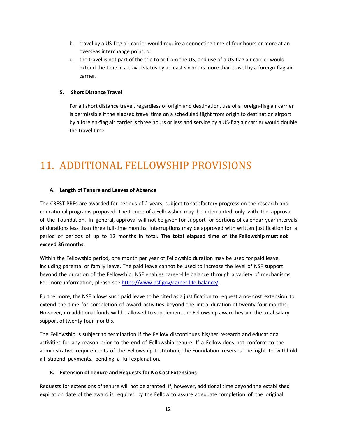- b. travel by a US-flag air carrier would require a connecting time of four hours or more at an overseas interchange point; or
- c. the travel is not part of the trip to or from the US, and use of a US-flag air carrier would extend the time in a travel status by at least six hours more than travel by a foreign-flag air carrier.

### **5. Short Distance Travel**

For all short distance travel, regardless of origin and destination, use of a foreign-flag air carrier is permissible if the elapsed travel time on a scheduled flight from origin to destination airport by a foreign-flag air carrier is three hours or less and service by a US-flag air carrier would double the travel time.

# <span id="page-11-0"></span>11. ADDITIONAL FELLOWSHIP PROVISIONS

# **A. Length of Tenure and Leaves of Absence**

The CREST-PRFs are awarded for periods of 2 years, subject to satisfactory progress on the research and educational programs proposed. The tenure of a Fellowship may be interrupted only with the approval of the Foundation. In general, approval will not be given for support for portions of calendar-year intervals of durations less than three full-time months. Interruptions may be approved with written justification for a period or periods of up to 12 months in total. **The total elapsed time of the Fellowship must not exceed 36 months.**

Within the Fellowship period, one month per year of Fellowship duration may be used for paid leave, including parental or family leave. The paid leave cannot be used to increase the level of NSF support beyond the duration of the Fellowship. NSF enables career-life balance through a variety of mechanisms. For more information, please see [https://www.nsf.gov/career-life-balance/.](https://www.nsf.gov/career-life-balance/)

Furthermore, the NSF allows such paid leave to be cited as a justification to request a no- cost extension to extend the time for completion of award activities beyond the initial duration of twenty-four months. However, no additional funds will be allowed to supplement the Fellowship award beyond the total salary support of twenty-four months.

The Fellowship is subject to termination if the Fellow discontinues his/her research and educational activities for any reason prior to the end of Fellowship tenure. If a Fellow does not conform to the administrative requirements of the Fellowship Institution, the Foundation reserves the right to withhold all stipend payments, pending a full explanation.

### **B. Extension of Tenure and Requests for No Cost Extensions**

Requests for extensions of tenure will not be granted. If, however, additional time beyond the established expiration date of the award is required by the Fellow to assure adequate completion of the original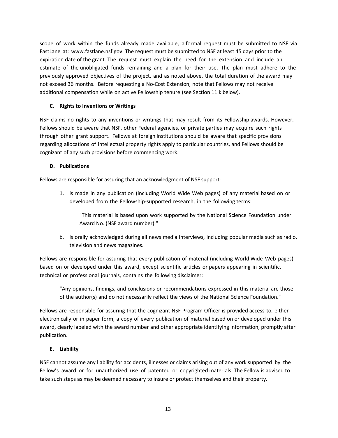scope of work within the funds already made available, a formal request must be submitted to NSF via FastLane at: [www.fastlane.nsf.gov.](http://www.fastlane.nsf.gov/) The request must be submitted to NSF at least 45 days prior to the expiration date of the grant. The request must explain the need for the extension and include an estimate of the unobligated funds remaining and a plan for their use. The plan must adhere to the previously approved objectives of the project, and as noted above, the total duration of the award may not exceed 36 months. Before requesting a No-Cost Extension, note that Fellows may not receive additional compensation while on active Fellowship tenure (see Section 11.k below).

# **C. Rights to Inventions or Writings**

NSF claims no rights to any inventions or writings that may result from its Fellowship awards. However, Fellows should be aware that NSF, other Federal agencies, or private parties may acquire such rights through other grant support. Fellows at foreign institutions should be aware that specific provisions regarding allocations of intellectual property rights apply to particular countries, and Fellows should be cognizant of any such provisions before commencing work.

# **D. Publications**

Fellows are responsible for assuring that an acknowledgment of NSF support:

1. is made in any publication (including World Wide Web pages) of any material based on or developed from the Fellowship-supported research, in the following terms:

"This material is based upon work supported by the National Science Foundation under Award No. (NSF award number)."

b. is orally acknowledged during all news media interviews, including popular media such as radio, television and news magazines.

Fellows are responsible for assuring that every publication of material (including World Wide Web pages) based on or developed under this award, except scientific articles or papers appearing in scientific, technical or professional journals, contains the following disclaimer:

"Any opinions, findings, and conclusions or recommendations expressed in this material are those of the author(s) and do not necessarily reflect the views of the National Science Foundation."

Fellows are responsible for assuring that the cognizant NSF Program Officer is provided access to, either electronically or in paper form, a copy of every publication of material based on or developed under this award, clearly labeled with the award number and other appropriate identifying information, promptly after publication.

### **E. Liability**

NSF cannot assume any liability for accidents, illnesses or claims arising out of any work supported by the Fellow's award or for unauthorized use of patented or copyrighted materials. The Fellow is advised to take such steps as may be deemed necessary to insure or protect themselves and their property.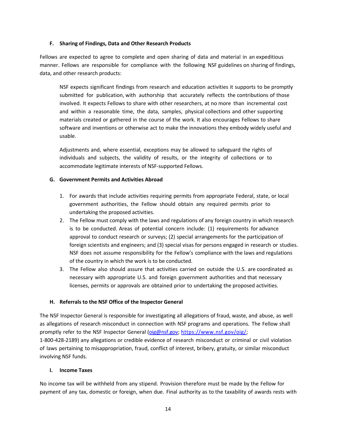#### **F. Sharing of Findings, Data and Other Research Products**

Fellows are expected to agree to complete and open sharing of data and material in an expeditious manner. Fellows are responsible for compliance with the following NSF guidelines on sharing of findings, data, and other research products:

NSF expects significant findings from research and education activities it supports to be promptly submitted for publication, with authorship that accurately reflects the contributions of those involved. It expects Fellows to share with other researchers, at no more than incremental cost and within a reasonable time, the data, samples, physical collections and other supporting materials created or gathered in the course of the work. It also encourages Fellows to share software and inventions or otherwise act to make the innovations they embody widely useful and usable.

Adjustments and, where essential, exceptions may be allowed to safeguard the rights of individuals and subjects, the validity of results, or the integrity of collections or to accommodate legitimate interests of NSF-supported Fellows.

### **G. Government Permits and Activities Abroad**

- 1. For awards that include activities requiring permits from appropriate Federal, state, or local government authorities, the Fellow should obtain any required permits prior to undertaking the proposed activities.
- 2. The Fellow must comply with the laws and regulations of any foreign country in which research is to be conducted. Areas of potential concern include: (1) requirements for advance approval to conduct research or surveys; (2) special arrangements for the participation of foreign scientists and engineers; and (3) special visas for persons engaged in research or studies. NSF does not assume responsibility for the Fellow's compliance with the laws and regulations of the country in which the work is to be conducted.
- 3. The Fellow also should assure that activities carried on outside the U.S. are coordinated as necessary with appropriate U.S. and foreign government authorities and that necessary licenses, permits or approvals are obtained prior to undertaking the proposed activities.

### **H. Referrals to the NSF Office of the Inspector General**

The NSF Inspector General is responsible for investigating all allegations of fraud, waste, and abuse, as well as allegations of research misconduct in connection with NSF programs and operations. The Fellow shall promptly refer to the NSF Inspector General (oig@nsf.gov; [https://www.nsf.gov/oig/;](https://www.nsf.gov/oig/) 1-800-428-2189) any allegations or credible evidence of research misconduct or criminal or civil violation of laws pertaining to misappropriation, fraud, conflict of interest, bribery, gratuity, or similar misconduct involving NSF funds.

#### **I. Income Taxes**

No income tax will be withheld from any stipend. Provision therefore must be made by the Fellow for payment of any tax, domestic or foreign, when due. Final authority as to the taxability of awards rests with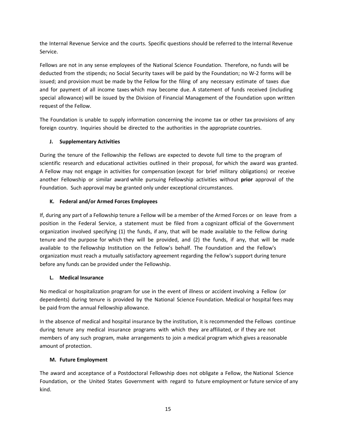the Internal Revenue Service and the courts. Specific questions should be referred to the Internal Revenue Service.

Fellows are not in any sense employees of the National Science Foundation. Therefore, no funds will be deducted from the stipends; no Social Security taxes will be paid by the Foundation; no W-2 forms will be issued; and provision must be made by the Fellow for the filing of any necessary estimate of taxes due and for payment of all income taxes which may become due. A statement of funds received (including special allowance) will be issued by the Division of Financial Management of the Foundation upon written request of the Fellow.

The Foundation is unable to supply information concerning the income tax or other tax provisions of any foreign country. Inquiries should be directed to the authorities in the appropriate countries.

# **J. Supplementary Activities**

During the tenure of the Fellowship the Fellows are expected to devote full time to the program of scientific research and educational activities outlined in their proposal, for which the award was granted. A Fellow may not engage in activities for compensation (except for brief military obligations) or receive another Fellowship or similar award while pursuing Fellowship activities without **prior** approval of the Foundation. Such approval may be granted only under exceptional circumstances.

### **K. Federal and/or Armed Forces Employees**

If, during any part of a Fellowship tenure a Fellow will be a member of the Armed Forces or on leave from a position in the Federal Service, a statement must be filed from a cognizant official of the Government organization involved specifying (1) the funds, if any, that will be made available to the Fellow during tenure and the purpose for which they will be provided, and (2) the funds, if any, that will be made available to the Fellowship Institution on the Fellow's behalf. The Foundation and the Fellow's organization must reach a mutually satisfactory agreement regarding the Fellow's support during tenure before any funds can be provided under the Fellowship.

### **L. Medical Insurance**

No medical or hospitalization program for use in the event of illness or accident involving a Fellow (or dependents) during tenure is provided by the National Science Foundation. Medical or hospital fees may be paid from the annual Fellowship allowance.

In the absence of medical and hospital insurance by the institution, it is recommended the Fellows continue during tenure any medical insurance programs with which they are affiliated, or if they are not members of any such program, make arrangements to join a medical program which gives a reasonable amount of protection.

### **M. Future Employment**

The award and acceptance of a Postdoctoral Fellowship does not obligate a Fellow, the National Science Foundation, or the United States Government with regard to future employment or future service of any kind.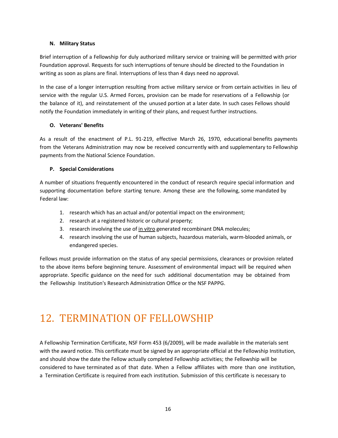### **N. Military Status**

Brief interruption of a Fellowship for duly authorized military service or training will be permitted with prior Foundation approval. Requests for such interruptions of tenure should be directed to the Foundation in writing as soon as plans are final. Interruptions of less than 4 days need no approval.

In the case of a longer interruption resulting from active military service or from certain activities in lieu of service with the regular U.S. Armed Forces, provision can be made for reservations of a Fellowship (or the balance of it), and reinstatement of the unused portion at a later date. In such cases Fellows should notify the Foundation immediately in writing of their plans, and request further instructions.

### **O. Veterans' Benefits**

As a result of the enactment of P.L. 91-219, effective March 26, 1970, educational benefits payments from the Veterans Administration may now be received concurrently with and supplementary to Fellowship payments from the National Science Foundation.

### **P. Special Considerations**

A number of situations frequently encountered in the conduct of research require special information and supporting documentation before starting tenure. Among these are the following, some mandated by Federal law:

- 1. research which has an actual and/or potential impact on the environment;
- 2. research at a registered historic or cultural property;
- 3. research involving the use of in vitro generated recombinant DNA molecules;
- 4. research involving the use of human subjects, hazardous materials, warm-blooded animals, or endangered species.

Fellows must provide information on the status of any special permissions, clearances or provision related to the above items before beginning tenure. Assessment of environmental impact will be required when appropriate. Specific guidance on the need for such additional documentation may be obtained from the Fellowship Institution's Research Administration Office or the NSF PAPPG.

# <span id="page-15-0"></span>12. TERMINATION OF FELLOWSHIP

A Fellowship Termination Certificate, NSF Form 453 (6/2009), will be made available in the materials sent with the award notice. This certificate must be signed by an appropriate official at the Fellowship Institution, and should show the date the Fellow actually completed Fellowship activities; the Fellowship will be considered to have terminated as of that date. When a Fellow affiliates with more than one institution, a Termination Certificate is required from each institution. Submission of this certificate is necessary to